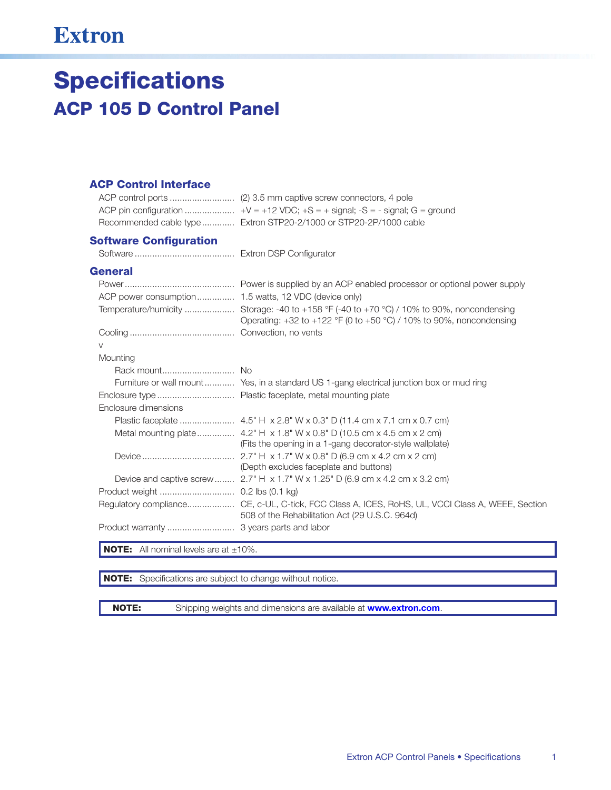## **Extron**

# **Specifications ACP 105 D Control Panel**

### **ACP Control Interface**

| Recommended cable type Extron STP20-2/1000 or STP20-2P/1000 cable |
|-------------------------------------------------------------------|

### **Software Configuration**

### **General**

| ACP power consumption  1.5 watts, 12 VDC (device only) |                                                                                                                                                                        |
|--------------------------------------------------------|------------------------------------------------------------------------------------------------------------------------------------------------------------------------|
|                                                        | Temperature/humidity  Storage: -40 to +158 °F (-40 to +70 °C) / 10% to 90%, noncondensing<br>Operating: $+32$ to $+122$ °F (0 to $+50$ °C) / 10% to 90%, noncondensing |
|                                                        |                                                                                                                                                                        |
| $\vee$                                                 |                                                                                                                                                                        |
| Mounting                                               |                                                                                                                                                                        |
|                                                        |                                                                                                                                                                        |
|                                                        | Furniture or wall mount Yes, in a standard US 1-gang electrical junction box or mud ring                                                                               |
|                                                        |                                                                                                                                                                        |
| Enclosure dimensions                                   |                                                                                                                                                                        |
|                                                        |                                                                                                                                                                        |
|                                                        | (Fits the opening in a 1-gang decorator-style wallplate)                                                                                                               |
|                                                        | (Depth excludes faceplate and buttons)                                                                                                                                 |
|                                                        | Device and captive screw 2.7" H $\times$ 1.7" W $\times$ 1.25" D (6.9 cm $\times$ 4.2 cm $\times$ 3.2 cm)                                                              |
|                                                        |                                                                                                                                                                        |
|                                                        | Regulatory compliance CE, c-UL, C-tick, FCC Class A, ICES, RoHS, UL, VCCI Class A, WEEE, Section<br>508 of the Rehabilitation Act (29 U.S.C. 964d)                     |
|                                                        |                                                                                                                                                                        |

**NOTE:** All nominal levels are at  $\pm 10\%$ .

NOTE: Specifications are subject to change without notice.

**NOTE:** 

Shipping weights and dimensions are available at **www.extron.com**.